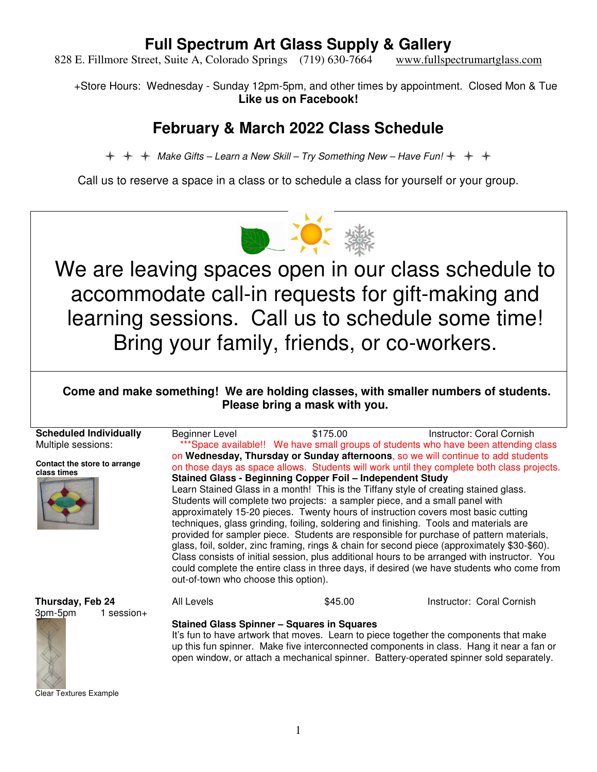828 E. Fillmore Street, Suite A, Colorado Springs (719) 630-7664 www.fullspectrumartglass.com

+Store Hours: Wednesday - Sunday 12pm-5pm, and other times by appointment. Closed Mon & Tue **Like us on Facebook!** 

### **February & March 2022 Class Schedule**

 $\div$   $\div$  Make Gifts – Learn a New Skill – Try Something New – Have Fun!  $\div$   $\div$   $\div$ 

Call us to reserve a space in a class or to schedule a class for yourself or your group.



We are leaving spaces open in our class schedule to accommodate call-in requests for gift-making and learning sessions. Call us to schedule some time! Bring your family, friends, or co-workers.

 **Come and make something! We are holding classes, with smaller numbers of students. Please bring a mask with you.** 

**Scheduled Individually** Multiple sessions: **Contact the store to arrange class times** Beginner Level \$175.00 Instructor: Coral Cornish \*\*\*Space available!! We have small groups of students who have been attending class on **Wednesday, Thursday or Sunday afternoons**, so we will continue to add students on those days as space allows. Students will work until they complete both class projects. **Stained Glass - Beginning Copper Foil – Independent Study**  Learn Stained Glass in a month! This is the Tiffany style of creating stained glass. Students will complete two projects: a sampler piece, and a small panel with approximately 15-20 pieces. Twenty hours of instruction covers most basic cutting techniques, glass grinding, foiling, soldering and finishing. Tools and materials are provided for sampler piece. Students are responsible for purchase of pattern materials, glass, foil, solder, zinc framing, rings & chain for second piece (approximately \$30-\$60). Class consists of initial session, plus additional hours to be arranged with instructor. You could complete the entire class in three days, if desired (we have students who come from out-of-town who choose this option). **Thursday, Feb 24** 3pm-5pm 1 session+ All Levels **645.00** S45.00 **Instructor: Coral Cornish Stained Glass Spinner – Squares in Squares**  It's fun to have artwork that moves. Learn to piece together the components that make up this fun spinner. Make five interconnected components in class. Hang it near a fan or



**Clear Textures Example** 

open window, or attach a mechanical spinner. Battery-operated spinner sold separately.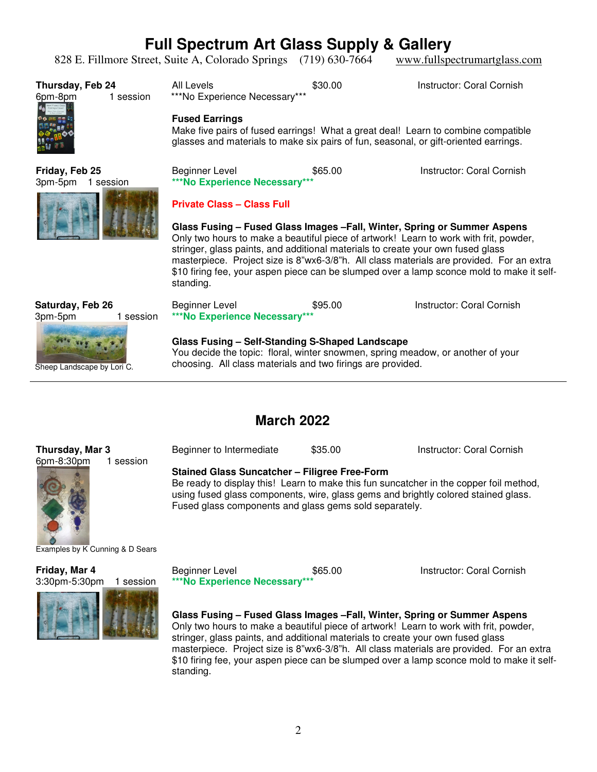828 E. Fillmore Street, Suite A, Colorado Springs (719) 630-7664 www.fullspectrumartglass.com

| Thursday, Feb 24<br>1 session<br>6pm-8pm                               | All Levels<br>***No Experience Necessary***<br><b>Fused Earrings</b><br>Make five pairs of fused earrings! What a great deal! Learn to combine compatible<br>glasses and materials to make six pairs of fun, seasonal, or gift-oriented earrings.                                                                                                          | \$30.00 | Instructor: Coral Cornish                                                                                                                                                                                          |
|------------------------------------------------------------------------|------------------------------------------------------------------------------------------------------------------------------------------------------------------------------------------------------------------------------------------------------------------------------------------------------------------------------------------------------------|---------|--------------------------------------------------------------------------------------------------------------------------------------------------------------------------------------------------------------------|
| Friday, Feb 25<br>3pm-5pm<br>1 session                                 | Beginner Level<br>***No Experience Necessary***<br><b>Private Class - Class Full</b><br>Glass Fusing – Fused Glass Images – Fall, Winter, Spring or Summer Aspens<br>Only two hours to make a beautiful piece of artwork! Learn to work with frit, powder,<br>stringer, glass paints, and additional materials to create your own fused glass<br>standing. | \$65.00 | Instructor: Coral Cornish<br>masterpiece. Project size is 8"wx6-3/8"h. All class materials are provided. For an extra<br>\$10 firing fee, your aspen piece can be slumped over a lamp sconce mold to make it self- |
| Saturday, Feb 26<br>3pm-5pm<br>1 session<br>Sheep Landscape by Lori C. | Beginner Level<br>***No Experience Necessary***<br>Glass Fusing - Self-Standing S-Shaped Landscape<br>You decide the topic: floral, winter snowmen, spring meadow, or another of your<br>choosing. All class materials and two firings are provided.                                                                                                       | \$95.00 | Instructor: Coral Cornish                                                                                                                                                                                          |

#### **March 2022**

#### **Thursday, Mar 3** 6pm-8:30pm 1 session

**Stained Glass Suncatcher – Filigree Free-Form** 

Be ready to display this! Learn to make this fun suncatcher in the copper foil method, using fused glass components, wire, glass gems and brightly colored stained glass. Fused glass components and glass gems sold separately.

Beginner to Intermediate  $$35.00$  Instructor: Coral Cornish



Examples by K Cunning & D Sears

**Friday, Mar 4** 3:30pm-5:30pm 1 session



Beginner Level **\$65.00** Instructor: Coral Cornish **\*\*\*No Experience Necessary\*\*\*** 

**Glass Fusing – Fused Glass Images –Fall, Winter, Spring or Summer Aspens**  Only two hours to make a beautiful piece of artwork! Learn to work with frit, powder, stringer, glass paints, and additional materials to create your own fused glass masterpiece. Project size is 8"wx6-3/8"h. All class materials are provided. For an extra \$10 firing fee, your aspen piece can be slumped over a lamp sconce mold to make it selfstanding.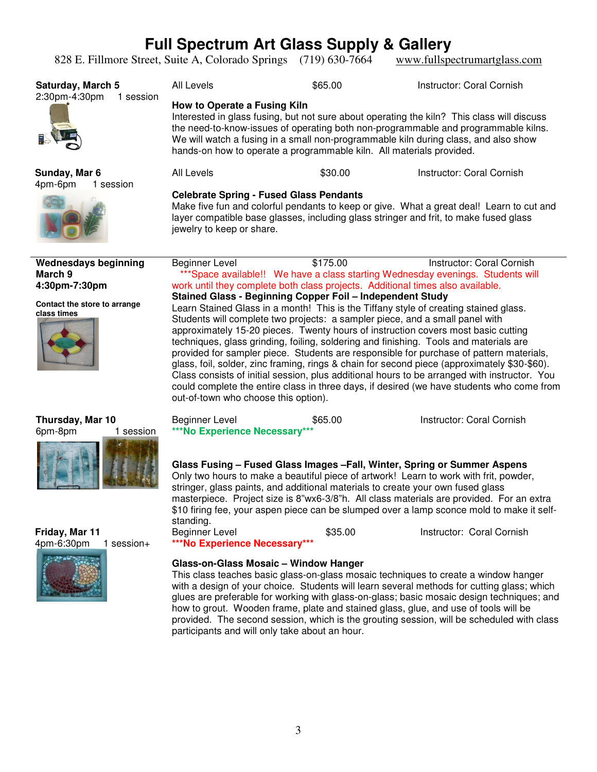828 E. Fillmore Street, Suite A, Colorado Springs (719) 630-7664 www.fullspectrumartglass.com

| <b>Saturday, March 5</b><br>2:30pm-4:30pm<br>1 session | All Levels                                                                                                                                                                                                                                                                                                                                                                                                                                                                                                                                                                                                                                                                                                                                                                                                                                      | \$65.00  | Instructor: Coral Cornish |  |  |
|--------------------------------------------------------|-------------------------------------------------------------------------------------------------------------------------------------------------------------------------------------------------------------------------------------------------------------------------------------------------------------------------------------------------------------------------------------------------------------------------------------------------------------------------------------------------------------------------------------------------------------------------------------------------------------------------------------------------------------------------------------------------------------------------------------------------------------------------------------------------------------------------------------------------|----------|---------------------------|--|--|
|                                                        | How to Operate a Fusing Kiln<br>Interested in glass fusing, but not sure about operating the kiln? This class will discuss<br>the need-to-know-issues of operating both non-programmable and programmable kilns.<br>We will watch a fusing in a small non-programmable kiln during class, and also show<br>hands-on how to operate a programmable kiln. All materials provided.                                                                                                                                                                                                                                                                                                                                                                                                                                                                 |          |                           |  |  |
| Sunday, Mar 6<br>4pm-6pm<br>1 session                  | All Levels                                                                                                                                                                                                                                                                                                                                                                                                                                                                                                                                                                                                                                                                                                                                                                                                                                      | \$30.00  | Instructor: Coral Cornish |  |  |
|                                                        | <b>Celebrate Spring - Fused Glass Pendants</b><br>Make five fun and colorful pendants to keep or give. What a great deal! Learn to cut and<br>layer compatible base glasses, including glass stringer and frit, to make fused glass<br>jewelry to keep or share.                                                                                                                                                                                                                                                                                                                                                                                                                                                                                                                                                                                |          |                           |  |  |
| <b>Wednesdays beginning</b><br>March 9                 | Beginner Level                                                                                                                                                                                                                                                                                                                                                                                                                                                                                                                                                                                                                                                                                                                                                                                                                                  | \$175.00 | Instructor: Coral Cornish |  |  |
| 4:30pm-7:30pm                                          | ***Space available!! We have a class starting Wednesday evenings. Students will<br>work until they complete both class projects. Additional times also available.                                                                                                                                                                                                                                                                                                                                                                                                                                                                                                                                                                                                                                                                               |          |                           |  |  |
| Contact the store to arrange<br>class times            | Stained Glass - Beginning Copper Foil - Independent Study<br>Learn Stained Glass in a month! This is the Tiffany style of creating stained glass.<br>Students will complete two projects: a sampler piece, and a small panel with<br>approximately 15-20 pieces. Twenty hours of instruction covers most basic cutting<br>techniques, glass grinding, foiling, soldering and finishing. Tools and materials are<br>provided for sampler piece. Students are responsible for purchase of pattern materials,<br>glass, foil, solder, zinc framing, rings & chain for second piece (approximately \$30-\$60).<br>Class consists of initial session, plus additional hours to be arranged with instructor. You<br>could complete the entire class in three days, if desired (we have students who come from<br>out-of-town who choose this option). |          |                           |  |  |
| Thursday, Mar 10<br>6pm-8pm<br>1 session               | <b>Beginner Level</b><br>***No Experience Necessary***                                                                                                                                                                                                                                                                                                                                                                                                                                                                                                                                                                                                                                                                                                                                                                                          | \$65.00  | Instructor: Coral Cornish |  |  |
|                                                        | Glass Fusing - Fused Glass Images - Fall, Winter, Spring or Summer Aspens<br>Only two hours to make a beautiful piece of artwork! Learn to work with frit, powder,<br>stringer, glass paints, and additional materials to create your own fused glass<br>masterpiece. Project size is 8"wx6-3/8"h. All class materials are provided. For an extra<br>\$10 firing fee, your aspen piece can be slumped over a lamp sconce mold to make it self-<br>standing.                                                                                                                                                                                                                                                                                                                                                                                     |          |                           |  |  |
| Friday, Mar 11                                         | <b>Beginner Level</b>                                                                                                                                                                                                                                                                                                                                                                                                                                                                                                                                                                                                                                                                                                                                                                                                                           | \$35.00  | Instructor: Coral Cornish |  |  |

**Friday, Mar 11** 4pm-6:30pm 1 session+



**Glass-on-Glass Mosaic – Window Hanger** 

**\*\*\*No Experience Necessary\*\*\*** 

This class teaches basic glass-on-glass mosaic techniques to create a window hanger with a design of your choice. Students will learn several methods for cutting glass; which glues are preferable for working with glass-on-glass; basic mosaic design techniques; and how to grout. Wooden frame, plate and stained glass, glue, and use of tools will be provided. The second session, which is the grouting session, will be scheduled with class participants and will only take about an hour.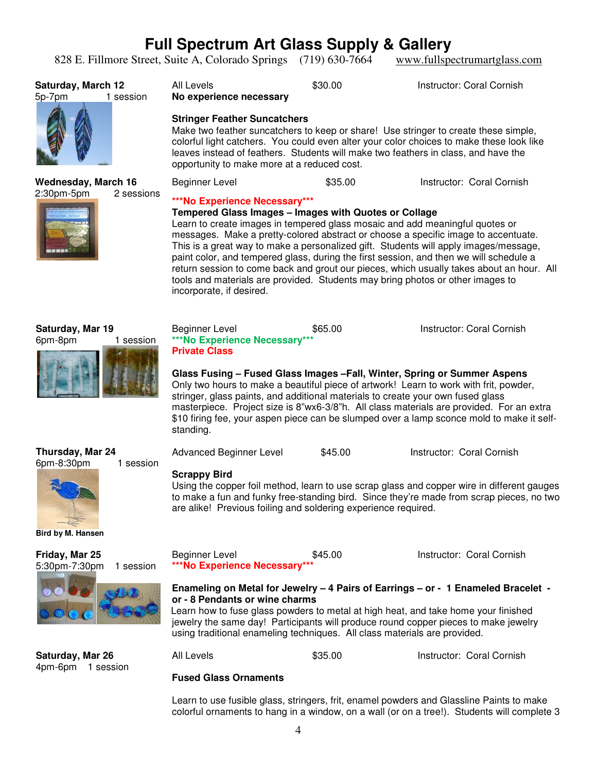828 E. Fillmore Street, Suite A, Colorado Springs (719) 630-7664 www.fullspectrumartglass.com

| Saturday, March 12<br>5p-7pm<br>1 session    | All Levels<br>No experience necessary<br><b>Stringer Feather Suncatchers</b><br>Make two feather suncatchers to keep or share! Use stringer to create these simple,<br>colorful light catchers. You could even alter your color choices to make these look like<br>leaves instead of feathers. Students will make two feathers in class, and have the<br>opportunity to make more at a reduced cost.                                                                                                                                                                                                                                                     | \$30.00 | Instructor: Coral Cornish                                                                                                                                                                                          |  |
|----------------------------------------------|----------------------------------------------------------------------------------------------------------------------------------------------------------------------------------------------------------------------------------------------------------------------------------------------------------------------------------------------------------------------------------------------------------------------------------------------------------------------------------------------------------------------------------------------------------------------------------------------------------------------------------------------------------|---------|--------------------------------------------------------------------------------------------------------------------------------------------------------------------------------------------------------------------|--|
| <b>Wednesday, March 16</b>                   | <b>Beginner Level</b>                                                                                                                                                                                                                                                                                                                                                                                                                                                                                                                                                                                                                                    | \$35.00 | Instructor: Coral Cornish                                                                                                                                                                                          |  |
| 2:30pm-5pm<br>2 sessions                     | ***No Experience Necessary***<br>Tempered Glass Images - Images with Quotes or Collage<br>Learn to create images in tempered glass mosaic and add meaningful quotes or<br>messages. Make a pretty-colored abstract or choose a specific image to accentuate.<br>This is a great way to make a personalized gift. Students will apply images/message,<br>paint color, and tempered glass, during the first session, and then we will schedule a<br>return session to come back and grout our pieces, which usually takes about an hour. All<br>tools and materials are provided. Students may bring photos or other images to<br>incorporate, if desired. |         |                                                                                                                                                                                                                    |  |
| Saturday, Mar 19<br>6pm-8pm<br>1 session     | Beginner Level<br>***No Experience Necessary***<br><b>Private Class</b><br>Glass Fusing – Fused Glass Images – Fall, Winter, Spring or Summer Aspens<br>Only two hours to make a beautiful piece of artwork! Learn to work with frit, powder,<br>stringer, glass paints, and additional materials to create your own fused glass<br>standing.                                                                                                                                                                                                                                                                                                            | \$65.00 | Instructor: Coral Cornish<br>masterpiece. Project size is 8"wx6-3/8"h. All class materials are provided. For an extra<br>\$10 firing fee, your aspen piece can be slumped over a lamp sconce mold to make it self- |  |
| Thursday, Mar 24                             | Advanced Beginner Level                                                                                                                                                                                                                                                                                                                                                                                                                                                                                                                                                                                                                                  | \$45.00 | Instructor: Coral Cornish                                                                                                                                                                                          |  |
| 6pm-8:30pm<br>1 session<br>Bird by M. Hansen | <b>Scrappy Bird</b><br>Using the copper foil method, learn to use scrap glass and copper wire in different gauges<br>to make a fun and funky free-standing bird. Since they're made from scrap pieces, no two<br>are alike! Previous foiling and soldering experience required.                                                                                                                                                                                                                                                                                                                                                                          |         |                                                                                                                                                                                                                    |  |
| Friday, Mar 25<br>5:30pm-7:30pm<br>1 session | Beginner Level<br>***No Experience Necessary**                                                                                                                                                                                                                                                                                                                                                                                                                                                                                                                                                                                                           | \$45.00 | Instructor: Coral Cornish                                                                                                                                                                                          |  |
|                                              | Enameling on Metal for Jewelry - 4 Pairs of Earrings - or - 1 Enameled Bracelet -<br>or - 8 Pendants or wine charms<br>Learn how to fuse glass powders to metal at high heat, and take home your finished<br>jewelry the same day! Participants will produce round copper pieces to make jewelry<br>using traditional enameling techniques. All class materials are provided.                                                                                                                                                                                                                                                                            |         |                                                                                                                                                                                                                    |  |
| Saturday, Mar 26<br>4pm-6pm 1 session        | All Levels                                                                                                                                                                                                                                                                                                                                                                                                                                                                                                                                                                                                                                               | \$35.00 | Instructor: Coral Cornish                                                                                                                                                                                          |  |
|                                              | <b>Fused Glass Ornaments</b>                                                                                                                                                                                                                                                                                                                                                                                                                                                                                                                                                                                                                             |         |                                                                                                                                                                                                                    |  |

Learn to use fusible glass, stringers, frit, enamel powders and Glassline Paints to make

colorful ornaments to hang in a window, on a wall (or on a tree!). Students will complete 3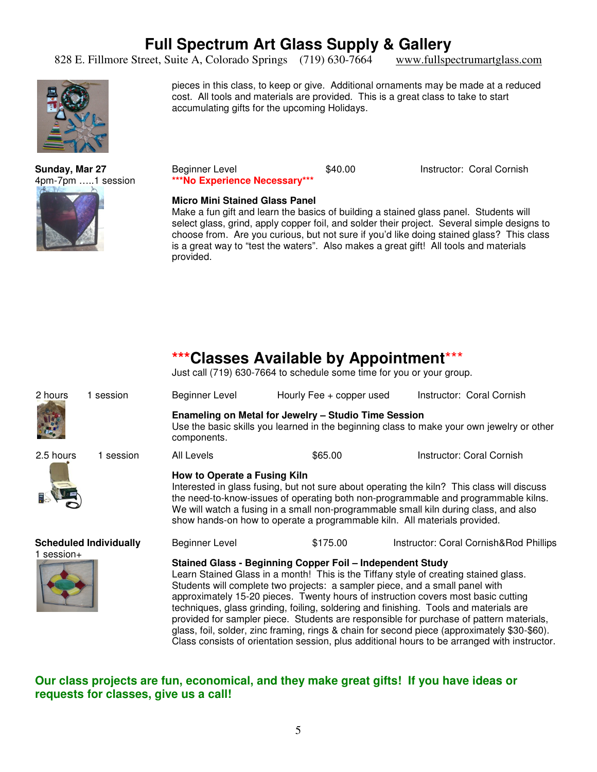828 E. Fillmore Street, Suite A, Colorado Springs (719) 630-7664 www.fullspectrumartglass.com



**Sunday, Mar 27** 4pm-7pm …..1 session



cost. All tools and materials are provided. This is a great class to take to start accumulating gifts for the upcoming Holidays.

pieces in this class, to keep or give. Additional ornaments may be made at a reduced

Beginner Level **\$40.00** Instructor: Coral Cornish **\*\*\*No Experience Necessary\*\*\*** 

#### **Micro Mini Stained Glass Panel**

Make a fun gift and learn the basics of building a stained glass panel. Students will select glass, grind, apply copper foil, and solder their project. Several simple designs to choose from. Are you curious, but not sure if you'd like doing stained glass? This class is a great way to "test the waters". Also makes a great gift! All tools and materials provided.

#### **\*\*\*Classes Available by Appointment**\*\*\*

Just call (719) 630-7664 to schedule some time for you or your group.

| 2 hours                                     | 1 session | Beginner Level                                                                                                                                                                                                                                                                                                                                                                                                                                                                                                                                                                                                                                                                                             | Hourly Fee + copper used | Instructor: Coral Cornish              |  |
|---------------------------------------------|-----------|------------------------------------------------------------------------------------------------------------------------------------------------------------------------------------------------------------------------------------------------------------------------------------------------------------------------------------------------------------------------------------------------------------------------------------------------------------------------------------------------------------------------------------------------------------------------------------------------------------------------------------------------------------------------------------------------------------|--------------------------|----------------------------------------|--|
|                                             |           | Enameling on Metal for Jewelry - Studio Time Session<br>Use the basic skills you learned in the beginning class to make your own jewelry or other<br>components.                                                                                                                                                                                                                                                                                                                                                                                                                                                                                                                                           |                          |                                        |  |
| 2.5 hours                                   | 1 session | All Levels                                                                                                                                                                                                                                                                                                                                                                                                                                                                                                                                                                                                                                                                                                 | \$65.00                  | Instructor: Coral Cornish              |  |
|                                             |           | How to Operate a Fusing Kiln<br>Interested in glass fusing, but not sure about operating the kiln? This class will discuss<br>the need-to-know-issues of operating both non-programmable and programmable kilns.<br>We will watch a fusing in a small non-programmable small kiln during class, and also<br>show hands-on how to operate a programmable kiln. All materials provided.                                                                                                                                                                                                                                                                                                                      |                          |                                        |  |
| <b>Scheduled Individually</b><br>1 session+ |           | Beginner Level                                                                                                                                                                                                                                                                                                                                                                                                                                                                                                                                                                                                                                                                                             | \$175.00                 | Instructor: Coral Cornish&Rod Phillips |  |
|                                             |           | Stained Glass - Beginning Copper Foil - Independent Study<br>Learn Stained Glass in a month! This is the Tiffany style of creating stained glass.<br>Students will complete two projects: a sampler piece, and a small panel with<br>approximately 15-20 pieces. Twenty hours of instruction covers most basic cutting<br>techniques, glass grinding, foiling, soldering and finishing. Tools and materials are<br>provided for sampler piece. Students are responsible for purchase of pattern materials,<br>glass, foil, solder, zinc framing, rings & chain for second piece (approximately \$30-\$60).<br>Class consists of orientation session, plus additional hours to be arranged with instructor. |                          |                                        |  |

#### **Our class projects are fun, economical, and they make great gifts! If you have ideas or requests for classes, give us a call!**